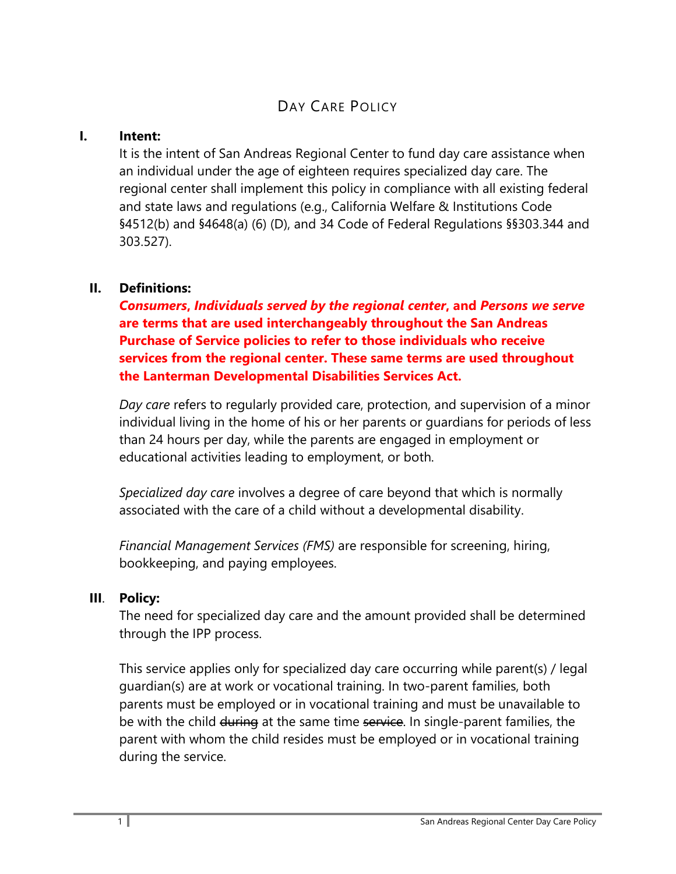# DAY CARE POLICY

#### **I. Intent:**

It is the intent of San Andreas Regional Center to fund day care assistance when an individual under the age of eighteen requires specialized day care. The regional center shall implement this policy in compliance with all existing federal and state laws and regulations (e.g., California Welfare & Institutions Code §4512(b) and §4648(a) (6) (D), and 34 Code of Federal Regulations §§303.344 and 303.527).

## **II. Definitions:**

*Consumers***,** *Individuals served by the regional center***, and** *Persons we serve* **are terms that are used interchangeably throughout the San Andreas Purchase of Service policies to refer to those individuals who receive services from the regional center. These same terms are used throughout the Lanterman Developmental Disabilities Services Act.**

*Day care* refers to regularly provided care, protection, and supervision of a minor individual living in the home of his or her parents or guardians for periods of less than 24 hours per day, while the parents are engaged in employment or educational activities leading to employment, or both.

*Specialized day care* involves a degree of care beyond that which is normally associated with the care of a child without a developmental disability.

*Financial Management Services (FMS)* are responsible for screening, hiring, bookkeeping, and paying employees.

## **III**. **Policy:**

The need for specialized day care and the amount provided shall be determined through the IPP process.

This service applies only for specialized day care occurring while parent(s) / legal guardian(s) are at work or vocational training. In two-parent families, both parents must be employed or in vocational training and must be unavailable to be with the child during at the same time service. In single-parent families, the parent with whom the child resides must be employed or in vocational training during the service.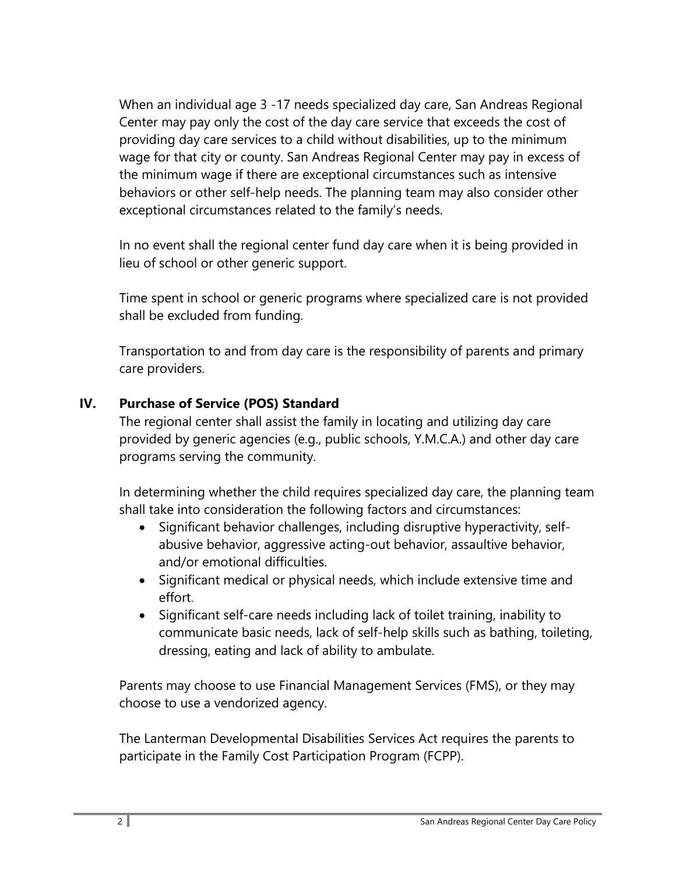When an individual age 3 -17 needs specialized day care, San Andreas Regional Center may pay only the cost of the day care service that exceeds the cost of providing day care services to a child without disabilities, up to the minimum wage for that city or county. San Andreas Regional Center may pay in excess of the minimum wage if there are exceptional circumstances such as intensive behaviors or other self-help needs. The planning team may also consider other exceptional circumstances related to the family's needs.

In no event shall the regional center fund day care when it is being provided in lieu of school or other generic support.

Time spent in school or generic programs where specialized care is not provided shall be excluded from funding.

Transportation to and from day care is the responsibility of parents and primary care providers.

#### **IV. Purchase of Service (POS) Standard**

The regional center shall assist the family in locating and utilizing day care provided by generic agencies (e.g., public schools, Y.M.C.A.) and other day care programs serving the community.

In determining whether the child requires specialized day care, the planning team shall take into consideration the following factors and circumstances:

- Significant behavior challenges, including disruptive hyperactivity, selfabusive behavior, aggressive acting-out behavior, assaultive behavior, and/or emotional difficulties.
- Significant medical or physical needs, which include extensive time and effort.
- Significant self-care needs including lack of toilet training, inability to communicate basic needs, lack of self-help skills such as bathing, toileting, dressing, eating and lack of ability to ambulate.

Parents may choose to use Financial Management Services (FMS), or they may choose to use a vendorized agency.

The Lanterman Developmental Disabilities Services Act requires the parents to participate in the Family Cost Participation Program (FCPP).